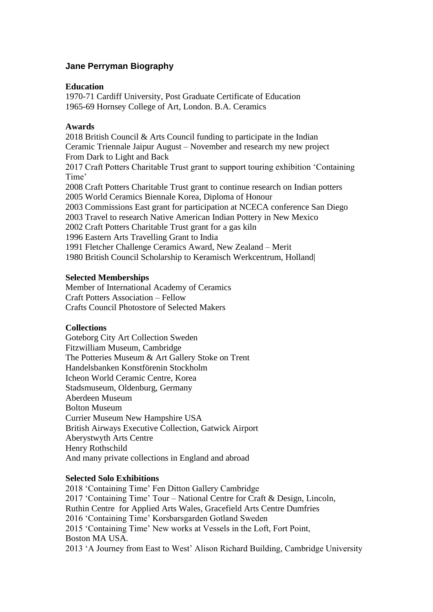# **Jane Perryman Biography**

### **Education**

1970-71 Cardiff University, Post Graduate Certificate of Education 1965-69 Hornsey College of Art, London. B.A. Ceramics

## **Awards**

2018 British Council & Arts Council funding to participate in the Indian Ceramic Triennale Jaipur August – November and research my new project From Dark to Light and Back 2017 Craft Potters Charitable Trust grant to support touring exhibition 'Containing Time' 2008 Craft Potters Charitable Trust grant to continue research on Indian potters 2005 World Ceramics Biennale Korea, Diploma of Honour 2003 Commissions East grant for participation at NCECA conference San Diego 2003 Travel to research Native American Indian Pottery in New Mexico 2002 Craft Potters Charitable Trust grant for a gas kiln 1996 Eastern Arts Travelling Grant to India 1991 Fletcher Challenge Ceramics Award, New Zealand – Merit 1980 British Council Scholarship to Keramisch Werkcentrum, Holland|

### **Selected Memberships**

Member of International Academy of Ceramics Craft Potters Association – Fellow Crafts Council Photostore of Selected Makers

### **Collections**

Goteborg City Art Collection Sweden Fitzwilliam Museum, Cambridge The Potteries Museum & Art Gallery Stoke on Trent Handelsbanken Konstförenin Stockholm Icheon World Ceramic Centre, Korea Stadsmuseum, Oldenburg, Germany Aberdeen Museum Bolton Museum Currier Museum New Hampshire USA British Airways Executive Collection, Gatwick Airport Aberystwyth Arts Centre Henry Rothschild And many private collections in England and abroad

# **Selected Solo Exhibitions**

2018 'Containing Time' Fen Ditton Gallery Cambridge 2017 'Containing Time' Tour – National Centre for Craft & Design, Lincoln, Ruthin Centre for Applied Arts Wales, Gracefield Arts Centre Dumfries 2016 'Containing Time' Korsbarsgarden Gotland Sweden 2015 'Containing Time' New works at Vessels in the Loft, Fort Point, Boston MA USA. 2013 'A Journey from East to West' Alison Richard Building, Cambridge University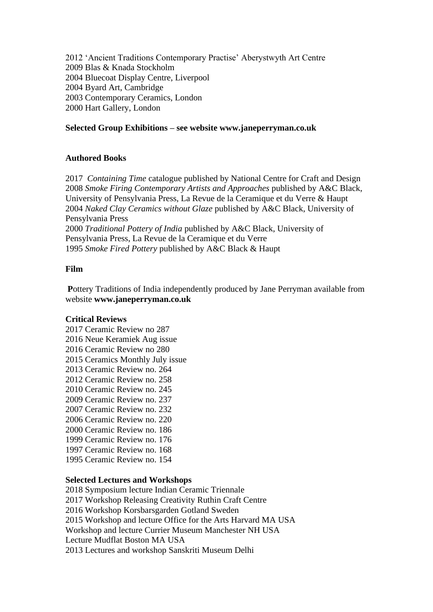2012 'Ancient Traditions Contemporary Practise' Aberystwyth Art Centre 2009 Blas & Knada Stockholm 2004 Bluecoat Display Centre, Liverpool 2004 Byard Art, Cambridge 2003 Contemporary Ceramics, London 2000 Hart Gallery, London

### **Selected Group Exhibitions – see website www.janeperryman.co.uk**

### **Authored Books**

*Containing Time* catalogue published by National Centre for Craft and Design *Smoke Firing Contemporary Artists and Approaches* published by A&C Black, University of Pensylvania Press, La Revue de la Ceramique et du Verre & Haupt *Naked Clay Ceramics without Glaze* published by A&C Black, University of Pensylvania Press *Traditional Pottery of India* published by A&C Black, University of Pensylvania Press, La Revue de la Ceramique et du Verre *Smoke Fired Pottery* published by A&C Black & Haupt

### **Film**

**P**ottery Traditions of India independently produced by Jane Perryman available from website **www.janeperryman.co.uk**

### **Critical Reviews**

2017 Ceramic Review no 287 2016 Neue Keramiek Aug issue 2016 Ceramic Review no 280 2015 Ceramics Monthly July issue 2013 Ceramic Review no. 264 2012 Ceramic Review no. 258 2010 Ceramic Review no. 245 2009 Ceramic Review no. 237 2007 Ceramic Review no. 232 2006 Ceramic Review no. 220 2000 Ceramic Review no. 186 1999 Ceramic Review no. 176 1997 Ceramic Review no. 168 1995 Ceramic Review no. 154

### **Selected Lectures and Workshops**

2018 Symposium lecture Indian Ceramic Triennale 2017 Workshop Releasing Creativity Ruthin Craft Centre 2016 Workshop Korsbarsgarden Gotland Sweden 2015 Workshop and lecture Office for the Arts Harvard MA USA Workshop and lecture Currier Museum Manchester NH USA Lecture Mudflat Boston MA USA 2013 Lectures and workshop Sanskriti Museum Delhi